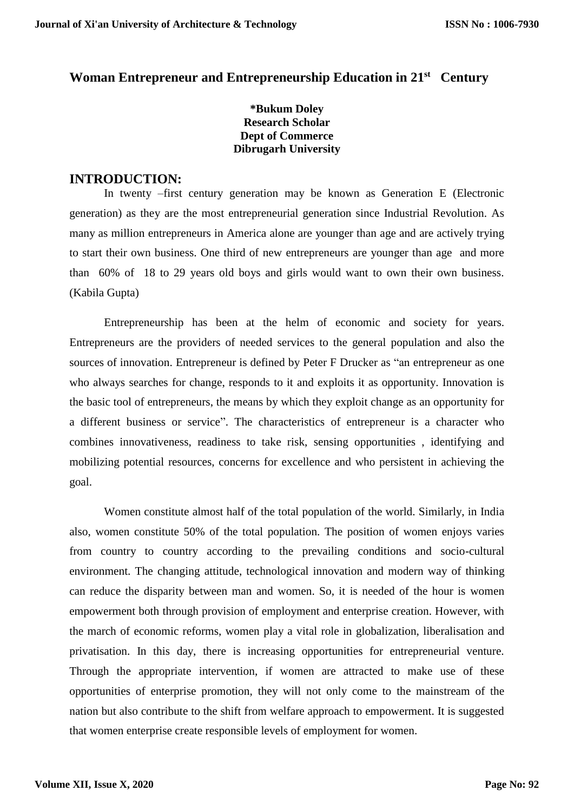# **Woman Entrepreneur and Entrepreneurship Education in 21st Century**

**\*Bukum Doley Research Scholar Dept of Commerce Dibrugarh University**

#### **INTRODUCTION:**

In twenty –first century generation may be known as Generation E (Electronic generation) as they are the most entrepreneurial generation since Industrial Revolution. As many as million entrepreneurs in America alone are younger than age and are actively trying to start their own business. One third of new entrepreneurs are younger than age and more than 60% of 18 to 29 years old boys and girls would want to own their own business. (Kabila Gupta)

Entrepreneurship has been at the helm of economic and society for years. Entrepreneurs are the providers of needed services to the general population and also the sources of innovation. Entrepreneur is defined by Peter F Drucker as "an entrepreneur as one who always searches for change, responds to it and exploits it as opportunity. Innovation is the basic tool of entrepreneurs, the means by which they exploit change as an opportunity for a different business or service". The characteristics of entrepreneur is a character who combines innovativeness, readiness to take risk, sensing opportunities , identifying and mobilizing potential resources, concerns for excellence and who persistent in achieving the goal.

Women constitute almost half of the total population of the world. Similarly, in India also, women constitute 50% of the total population. The position of women enjoys varies from country to country according to the prevailing conditions and socio-cultural environment. The changing attitude, technological innovation and modern way of thinking can reduce the disparity between man and women. So, it is needed of the hour is women empowerment both through provision of employment and enterprise creation. However, with the march of economic reforms, women play a vital role in globalization, liberalisation and privatisation. In this day, there is increasing opportunities for entrepreneurial venture. Through the appropriate intervention, if women are attracted to make use of these opportunities of enterprise promotion, they will not only come to the mainstream of the nation but also contribute to the shift from welfare approach to empowerment. It is suggested that women enterprise create responsible levels of employment for women.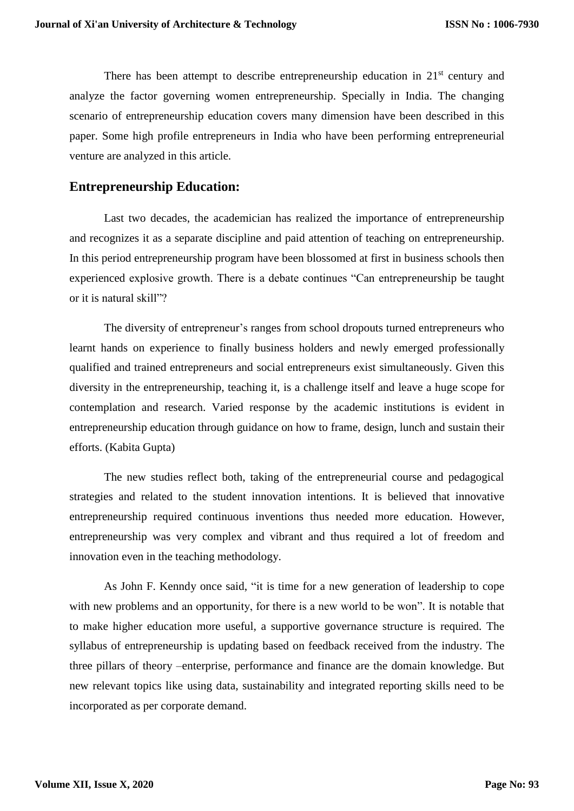There has been attempt to describe entrepreneurship education in  $21<sup>st</sup>$  century and analyze the factor governing women entrepreneurship. Specially in India. The changing scenario of entrepreneurship education covers many dimension have been described in this paper. Some high profile entrepreneurs in India who have been performing entrepreneurial venture are analyzed in this article.

#### **Entrepreneurship Education:**

Last two decades, the academician has realized the importance of entrepreneurship and recognizes it as a separate discipline and paid attention of teaching on entrepreneurship. In this period entrepreneurship program have been blossomed at first in business schools then experienced explosive growth. There is a debate continues "Can entrepreneurship be taught or it is natural skill"?

The diversity of entrepreneur's ranges from school dropouts turned entrepreneurs who learnt hands on experience to finally business holders and newly emerged professionally qualified and trained entrepreneurs and social entrepreneurs exist simultaneously. Given this diversity in the entrepreneurship, teaching it, is a challenge itself and leave a huge scope for contemplation and research. Varied response by the academic institutions is evident in entrepreneurship education through guidance on how to frame, design, lunch and sustain their efforts. (Kabita Gupta)

The new studies reflect both, taking of the entrepreneurial course and pedagogical strategies and related to the student innovation intentions. It is believed that innovative entrepreneurship required continuous inventions thus needed more education. However, entrepreneurship was very complex and vibrant and thus required a lot of freedom and innovation even in the teaching methodology.

As John F. Kenndy once said, "it is time for a new generation of leadership to cope with new problems and an opportunity, for there is a new world to be won". It is notable that to make higher education more useful, a supportive governance structure is required. The syllabus of entrepreneurship is updating based on feedback received from the industry. The three pillars of theory –enterprise, performance and finance are the domain knowledge. But new relevant topics like using data, sustainability and integrated reporting skills need to be incorporated as per corporate demand.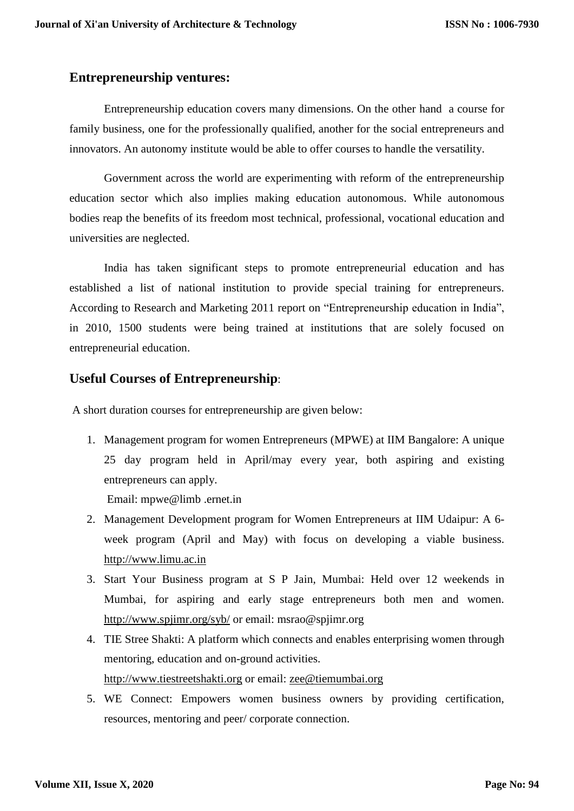#### **Entrepreneurship ventures:**

Entrepreneurship education covers many dimensions. On the other hand a course for family business, one for the professionally qualified, another for the social entrepreneurs and innovators. An autonomy institute would be able to offer courses to handle the versatility.

Government across the world are experimenting with reform of the entrepreneurship education sector which also implies making education autonomous. While autonomous bodies reap the benefits of its freedom most technical, professional, vocational education and universities are neglected.

India has taken significant steps to promote entrepreneurial education and has established a list of national institution to provide special training for entrepreneurs. According to Research and Marketing 2011 report on "Entrepreneurship education in India", in 2010, 1500 students were being trained at institutions that are solely focused on entrepreneurial education.

## **Useful Courses of Entrepreneurship**:

A short duration courses for entrepreneurship are given below:

1. Management program for women Entrepreneurs (MPWE) at IIM Bangalore: A unique 25 day program held in April/may every year, both aspiring and existing entrepreneurs can apply.

Email: mpwe@limb .ernet.in

- 2. Management Development program for Women Entrepreneurs at IIM Udaipur: A 6 week program (April and May) with focus on developing a viable business. [http://www.limu.ac.in](http://www.limu.ac.in/)
- 3. Start Your Business program at S P Jain, Mumbai: Held over 12 weekends in Mumbai, for aspiring and early stage entrepreneurs both men and women. <http://www.spjimr.org/syb/> or email: msrao@spjimr.org
- 4. TIE Stree Shakti: A platform which connects and enables enterprising women through mentoring, education and on-ground activities. [http://www.tiestreetshakti.org](http://www.tiestreetshakti.org/) or email: [zee@tiemumbai.org](mailto:zee@tiemumbai.org)
- 5. WE Connect: Empowers women business owners by providing certification, resources, mentoring and peer/ corporate connection.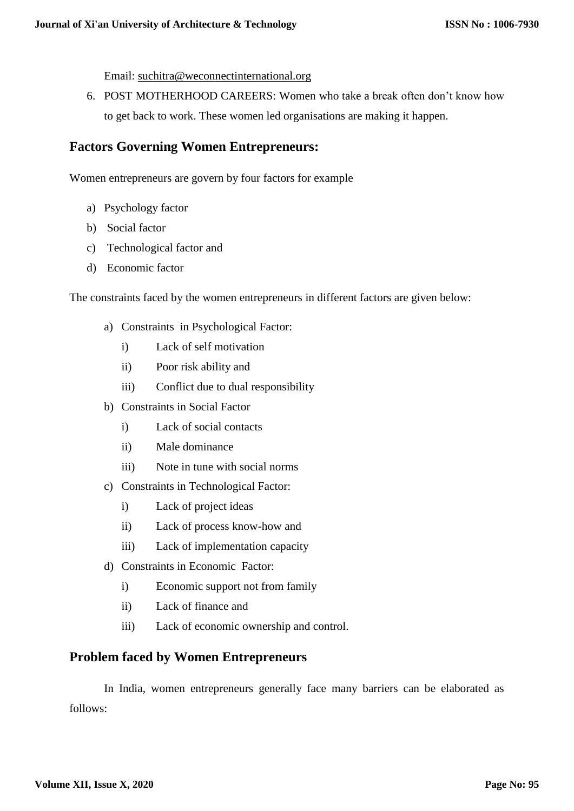Email: [suchitra@weconnectinternational.org](mailto:suchitra@weconnectinternational.org)

6. POST MOTHERHOOD CAREERS: Women who take a break often don't know how to get back to work. These women led organisations are making it happen.

## **Factors Governing Women Entrepreneurs:**

Women entrepreneurs are govern by four factors for example

- a) Psychology factor
- b) Social factor
- c) Technological factor and
- d) Economic factor

The constraints faced by the women entrepreneurs in different factors are given below:

- a) Constraints in Psychological Factor:
	- i) Lack of self motivation
	- ii) Poor risk ability and
	- iii) Conflict due to dual responsibility
- b) Constraints in Social Factor
	- i) Lack of social contacts
	- ii) Male dominance
	- iii) Note in tune with social norms
- c) Constraints in Technological Factor:
	- i) Lack of project ideas
	- ii) Lack of process know-how and
	- iii) Lack of implementation capacity
- d) Constraints in Economic Factor:
	- i) Economic support not from family
	- ii) Lack of finance and
	- iii) Lack of economic ownership and control.

#### **Problem faced by Women Entrepreneurs**

In India, women entrepreneurs generally face many barriers can be elaborated as follows: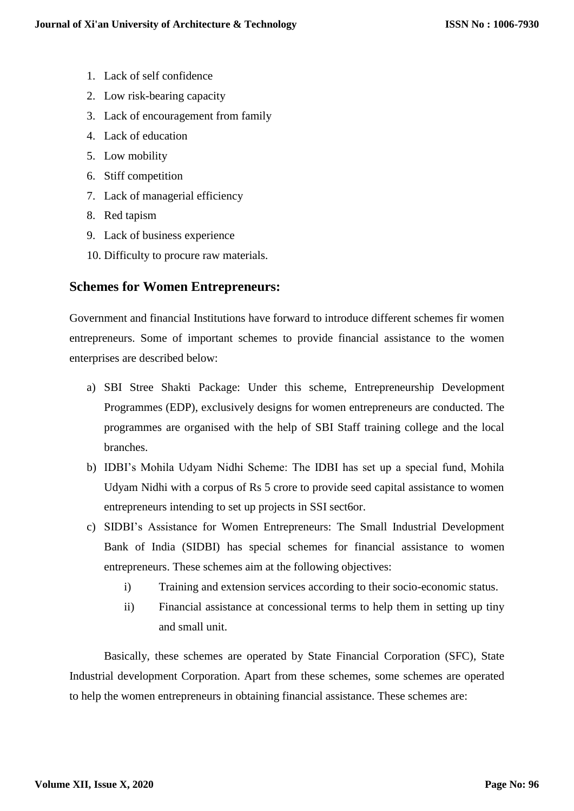- 1. Lack of self confidence
- 2. Low risk-bearing capacity
- 3. Lack of encouragement from family
- 4. Lack of education
- 5. Low mobility
- 6. Stiff competition
- 7. Lack of managerial efficiency
- 8. Red tapism
- 9. Lack of business experience
- 10. Difficulty to procure raw materials.

## **Schemes for Women Entrepreneurs:**

Government and financial Institutions have forward to introduce different schemes fir women entrepreneurs. Some of important schemes to provide financial assistance to the women enterprises are described below:

- a) SBI Stree Shakti Package: Under this scheme, Entrepreneurship Development Programmes (EDP), exclusively designs for women entrepreneurs are conducted. The programmes are organised with the help of SBI Staff training college and the local branches.
- b) IDBI's Mohila Udyam Nidhi Scheme: The IDBI has set up a special fund, Mohila Udyam Nidhi with a corpus of Rs 5 crore to provide seed capital assistance to women entrepreneurs intending to set up projects in SSI sect6or.
- c) SIDBI's Assistance for Women Entrepreneurs: The Small Industrial Development Bank of India (SIDBI) has special schemes for financial assistance to women entrepreneurs. These schemes aim at the following objectives:
	- i) Training and extension services according to their socio-economic status.
	- ii) Financial assistance at concessional terms to help them in setting up tiny and small unit.

Basically, these schemes are operated by State Financial Corporation (SFC), State Industrial development Corporation. Apart from these schemes, some schemes are operated to help the women entrepreneurs in obtaining financial assistance. These schemes are: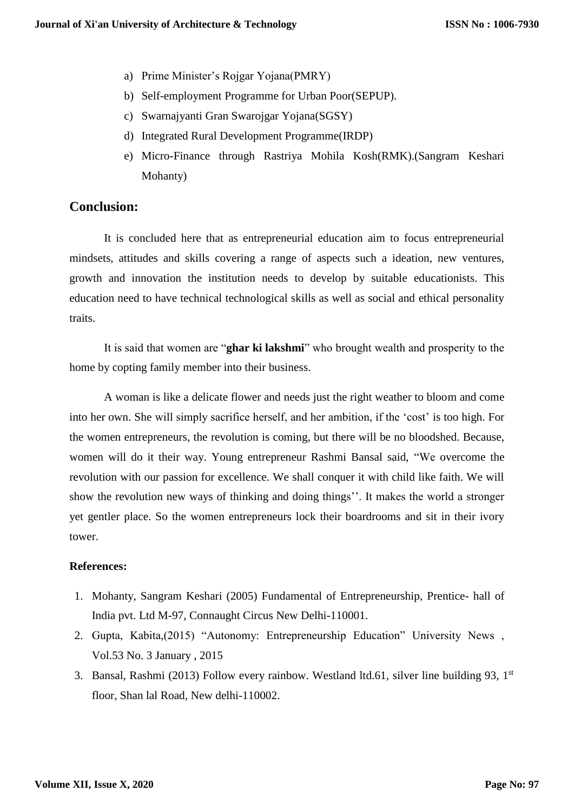- a) Prime Minister's Rojgar Yojana(PMRY)
- b) Self-employment Programme for Urban Poor(SEPUP).
- c) Swarnajyanti Gran Swarojgar Yojana(SGSY)
- d) Integrated Rural Development Programme(IRDP)
- e) Micro-Finance through Rastriya Mohila Kosh(RMK).(Sangram Keshari Mohanty)

#### **Conclusion:**

It is concluded here that as entrepreneurial education aim to focus entrepreneurial mindsets, attitudes and skills covering a range of aspects such a ideation, new ventures, growth and innovation the institution needs to develop by suitable educationists. This education need to have technical technological skills as well as social and ethical personality traits.

It is said that women are "**ghar ki lakshmi**" who brought wealth and prosperity to the home by copting family member into their business.

A woman is like a delicate flower and needs just the right weather to bloom and come into her own. She will simply sacrifice herself, and her ambition, if the 'cost' is too high. For the women entrepreneurs, the revolution is coming, but there will be no bloodshed. Because, women will do it their way. Young entrepreneur Rashmi Bansal said, "We overcome the revolution with our passion for excellence. We shall conquer it with child like faith. We will show the revolution new ways of thinking and doing things''. It makes the world a stronger yet gentler place. So the women entrepreneurs lock their boardrooms and sit in their ivory tower.

#### **References:**

- 1. Mohanty, Sangram Keshari (2005) Fundamental of Entrepreneurship, Prentice- hall of India pvt. Ltd M-97, Connaught Circus New Delhi-110001.
- 2. Gupta, Kabita,(2015) "Autonomy: Entrepreneurship Education" University News , Vol.53 No. 3 January , 2015
- 3. Bansal, Rashmi (2013) Follow every rainbow. Westland ltd.61, silver line building 93,  $1<sup>st</sup>$ floor, Shan lal Road, New delhi-110002.